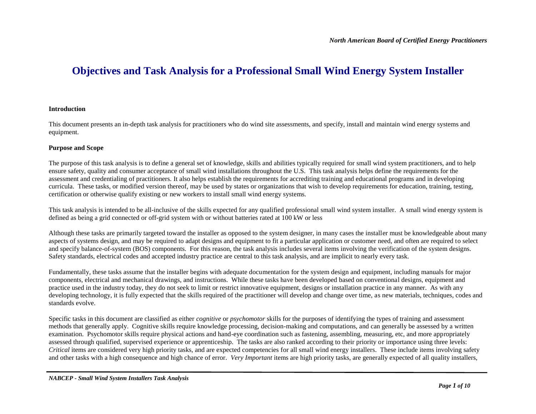# **Objectives and Task Analysis for a Professional Small Wind Energy System Installer**

#### **Introduction**

This document presents an in-depth task analysis for practitioners who do wind site assessments, and specify, install and maintain wind energy systems and equipment.

#### **Purpose and Scope**

The purpose of this task analysis is to define a general set of knowledge, skills and abilities typically required for small wind system practitioners, and to help ensure safety, quality and consumer acceptance of small wind installations throughout the U.S. This task analysis helps define the requirements for the assessment and credentialing of practitioners. It also helps establish the requirements for accrediting training and educational programs and in developing curricula. These tasks, or modified version thereof, may be used by states or organizations that wish to develop requirements for education, training, testing, certification or otherwise qualify existing or new workers to install small wind energy systems.

This task analysis is intended to be all-inclusive of the skills expected for any qualified professional small wind system installer. A small wind energy system is defined as being a grid connected or off-grid system with or without batteries rated at 100 kW or less

Although these tasks are primarily targeted toward the installer as opposed to the system designer, in many cases the installer must be knowledgeable about many aspects of systems design, and may be required to adapt designs and equipment to fit a particular application or customer need, and often are required to select and specify balance-of-system (BOS) components. For this reason, the task analysis includes several items involving the verification of the system designs. Safety standards, electrical codes and accepted industry practice are central to this task analysis, and are implicit to nearly every task.

Fundamentally, these tasks assume that the installer begins with adequate documentation for the system design and equipment, including manuals for major components, electrical and mechanical drawings, and instructions. While these tasks have been developed based on conventional designs, equipment and practice used in the industry today, they do not seek to limit or restrict innovative equipment, designs or installation practice in any manner. As with any developing technology, it is fully expected that the skills required of the practitioner will develop and change over time, as new materials, techniques, codes and standards evolve.

Specific tasks in this document are classified as either *cognitive* or *psychomotor* skills for the purposes of identifying the types of training and assessment methods that generally apply. Cognitive skills require knowledge processing, decision-making and computations, and can generally be assessed by a written examination. Psychomotor skills require physical actions and hand-eye coordination such as fastening, assembling, measuring, etc, and more appropriately assessed through qualified, supervised experience or apprenticeship. The tasks are also ranked according to their priority or importance using three levels: *Critical* items are considered very high priority tasks, and are expected competencies for all small wind energy installers. These include items involving safety and other tasks with a high consequence and high chance of error. *Very Important* items are high priority tasks, are generally expected of all quality installers,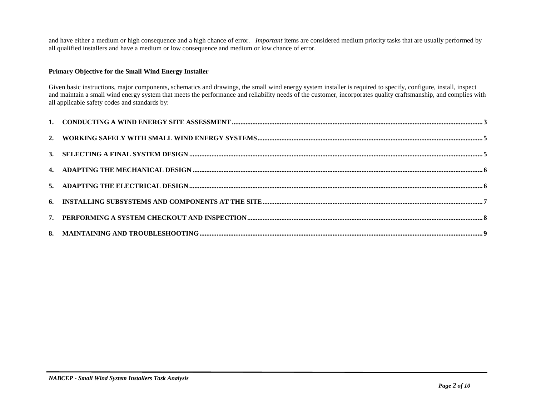and have either a medium or high consequence and a high chance of error. *Important* items are considered medium priority tasks that are usually performed by all qualified installers and have a medium or low consequence and medium or low chance of error.

### **Primary Objective for the Small Wind Energy Installer**

Given basic instructions, major components, schematics and drawings, the small wind energy system installer is required to specify, configure, install, inspect and maintain a small wind energy system that meets the performance and reliability needs of the customer, incorporates quality craftsmanship, and complies with all applicable safety codes and standards by: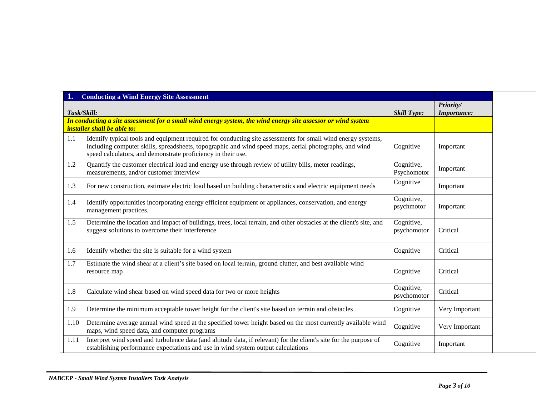| 1.          | <b>Conducting a Wind Energy Site Assessment</b>                                                                                                                                                                                                                                        |                           |                                 |
|-------------|----------------------------------------------------------------------------------------------------------------------------------------------------------------------------------------------------------------------------------------------------------------------------------------|---------------------------|---------------------------------|
| Task/Skill: |                                                                                                                                                                                                                                                                                        | <b>Skill Type:</b>        | Priority/<br><b>Importance:</b> |
|             | In conducting a site assessment for a small wind energy system, the wind energy site assessor or wind system<br><i>installer shall be able to:</i>                                                                                                                                     |                           |                                 |
| 1.1         | Identify typical tools and equipment required for conducting site assessments for small wind energy systems,<br>including computer skills, spreadsheets, topographic and wind speed maps, aerial photographs, and wind<br>speed calculators, and demonstrate proficiency in their use. | Cognitive                 | Important                       |
| 1.2         | Quantify the customer electrical load and energy use through review of utility bills, meter readings,<br>measurements, and/or customer interview                                                                                                                                       | Cognitive,<br>Psychomotor | Important                       |
| 1.3         | For new construction, estimate electric load based on building characteristics and electric equipment needs                                                                                                                                                                            | Cognitive                 | Important                       |
| 1.4         | Identify opportunities incorporating energy efficient equipment or appliances, conservation, and energy<br>management practices.                                                                                                                                                       | Cognitive,<br>psychmotor  | Important                       |
| 1.5         | Determine the location and impact of buildings, trees, local terrain, and other obstacles at the client's site, and<br>suggest solutions to overcome their interference                                                                                                                | Cognitive,<br>psychomotor | Critical                        |
| 1.6         | Identify whether the site is suitable for a wind system                                                                                                                                                                                                                                | Cognitive                 | Critical                        |
| 1.7         | Estimate the wind shear at a client's site based on local terrain, ground clutter, and best available wind<br>resource map                                                                                                                                                             | Cognitive                 | Critical                        |
| 1.8         | Calculate wind shear based on wind speed data for two or more heights                                                                                                                                                                                                                  | Cognitive,<br>psychomotor | Critical                        |
| 1.9         | Determine the minimum acceptable tower height for the client's site based on terrain and obstacles                                                                                                                                                                                     | Cognitive                 | Very Important                  |
| 1.10        | Determine average annual wind speed at the specified tower height based on the most currently available wind<br>maps, wind speed data, and computer programs                                                                                                                           | Cognitive                 | Very Important                  |
| 1.11        | Interpret wind speed and turbulence data (and altitude data, if relevant) for the client's site for the purpose of<br>establishing performance expectations and use in wind system output calculations                                                                                 | Cognitive                 | Important                       |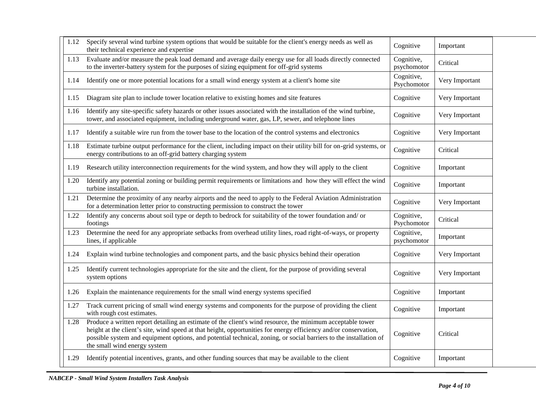| 1.12 | Specify several wind turbine system options that would be suitable for the client's energy needs as well as<br>their technical experience and expertise                                                                                                                                                                                                                             | Cognitive                 | Important      |
|------|-------------------------------------------------------------------------------------------------------------------------------------------------------------------------------------------------------------------------------------------------------------------------------------------------------------------------------------------------------------------------------------|---------------------------|----------------|
| 1.13 | Evaluate and/or measure the peak load demand and average daily energy use for all loads directly connected<br>to the inverter-battery system for the purposes of sizing equipment for off-grid systems                                                                                                                                                                              | Cognitive,<br>psychomotor | Critical       |
| 1.14 | Identify one or more potential locations for a small wind energy system at a client's home site                                                                                                                                                                                                                                                                                     | Cognitive,<br>Psychomotor | Very Important |
| 1.15 | Diagram site plan to include tower location relative to existing homes and site features                                                                                                                                                                                                                                                                                            | Cognitive                 | Very Important |
| 1.16 | Identify any site-specific safety hazards or other issues associated with the installation of the wind turbine,<br>tower, and associated equipment, including underground water, gas, LP, sewer, and telephone lines                                                                                                                                                                | Cognitive                 | Very Important |
| 1.17 | Identify a suitable wire run from the tower base to the location of the control systems and electronics                                                                                                                                                                                                                                                                             | Cognitive                 | Very Important |
| 1.18 | Estimate turbine output performance for the client, including impact on their utility bill for on-grid systems, or<br>energy contributions to an off-grid battery charging system                                                                                                                                                                                                   | Cognitive                 | Critical       |
| 1.19 | Research utility interconnection requirements for the wind system, and how they will apply to the client                                                                                                                                                                                                                                                                            | Cognitive                 | Important      |
| 1.20 | Identify any potential zoning or building permit requirements or limitations and how they will effect the wind<br>turbine installation.                                                                                                                                                                                                                                             | Cognitive                 | Important      |
| 1.21 | Determine the proximity of any nearby airports and the need to apply to the Federal Aviation Administration<br>for a determination letter prior to constructing permission to construct the tower                                                                                                                                                                                   | Cognitive                 | Very Important |
| 1.22 | Identify any concerns about soil type or depth to bedrock for suitability of the tower foundation and/ or<br>footings                                                                                                                                                                                                                                                               | Cognitive,<br>Psychomotor | Critical       |
| 1.23 | Determine the need for any appropriate setbacks from overhead utility lines, road right-of-ways, or property<br>lines, if applicable                                                                                                                                                                                                                                                | Cognitive,<br>psychomotor | Important      |
| 1.24 | Explain wind turbine technologies and component parts, and the basic physics behind their operation                                                                                                                                                                                                                                                                                 | Cognitive                 | Very Important |
| 1.25 | Identify current technologies appropriate for the site and the client, for the purpose of providing several<br>system options                                                                                                                                                                                                                                                       | Cognitive                 | Very Important |
| 1.26 | Explain the maintenance requirements for the small wind energy systems specified                                                                                                                                                                                                                                                                                                    | Cognitive                 | Important      |
| 1.27 | Track current pricing of small wind energy systems and components for the purpose of providing the client<br>with rough cost estimates.                                                                                                                                                                                                                                             | Cognitive                 | Important      |
| 1.28 | Produce a written report detailing an estimate of the client's wind resource, the minimum acceptable tower<br>height at the client's site, wind speed at that height, opportunities for energy efficiency and/or conservation,<br>possible system and equipment options, and potential technical, zoning, or social barriers to the installation of<br>the small wind energy system | Cognitive                 | Critical       |
| 1.29 | Identify potential incentives, grants, and other funding sources that may be available to the client                                                                                                                                                                                                                                                                                | Cognitive                 | Important      |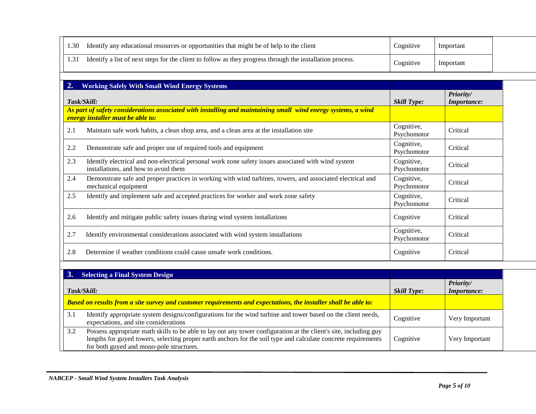| 1.30 | Identify any educational resources or opportunities that might be of help to the client                   | Cognitive | Important |  |
|------|-----------------------------------------------------------------------------------------------------------|-----------|-----------|--|
|      | Identify a list of next steps for the client to follow as they progress through the installation process. | Cognitive | Important |  |

| 2.  | <b>Working Safely With Small Wind Energy Systems</b>                                                                                               |                           |                                 |
|-----|----------------------------------------------------------------------------------------------------------------------------------------------------|---------------------------|---------------------------------|
|     | Task/Skill:                                                                                                                                        | <b>Skill Type:</b>        | Priority/<br><b>Importance:</b> |
|     | As part of safety considerations associated with installing and maintaining small wind energy systems, a wind<br>energy installer must be able to: |                           |                                 |
| 2.1 | Maintain safe work habits, a clean shop area, and a clean area at the installation site                                                            | Cognitive,<br>Psychomotor | Critical                        |
| 2.2 | Demonstrate safe and proper use of required tools and equipment                                                                                    | Cognitive,<br>Psychomotor | Critical                        |
| 2.3 | Identify electrical and non-electrical personal work zone safety issues associated with wind system<br>installations, and how to avoid them        | Cognitive,<br>Psychomotor | Critical                        |
| 2.4 | Demonstrate safe and proper practices in working with wind turbines, towers, and associated electrical and<br>mechanical equipment                 | Cognitive,<br>Psychomotor | Critical                        |
| 2.5 | Identify and implement safe and accepted practices for worker and work zone safety                                                                 | Cognitive,<br>Psychomotor | Critical                        |
| 2.6 | Identify and mitigate public safety issues during wind system installations                                                                        | Cognitive                 | Critical                        |
| 2.7 | Identify environmental considerations associated with wind system installations                                                                    | Cognitive,<br>Psychomotor | Critical                        |
| 2.8 | Determine if weather conditions could cause unsafe work conditions.                                                                                | Cognitive                 | Critical                        |

|     | <b>Selecting a Final System Design</b>                                                                                                                                                                                                                                          |                    |                                 |
|-----|---------------------------------------------------------------------------------------------------------------------------------------------------------------------------------------------------------------------------------------------------------------------------------|--------------------|---------------------------------|
|     | Task/Skill:                                                                                                                                                                                                                                                                     | <b>Skill Type:</b> | Priority/<br><i>Importance:</i> |
|     | Based on results from a site survey and customer requirements and expectations, the installer shall be able to:                                                                                                                                                                 |                    |                                 |
| 3.1 | Identify appropriate system designs/configurations for the wind turbine and tower based on the client needs,<br>expectations, and site considerations                                                                                                                           | Cognitive          | Very Important                  |
| 3.2 | Possess appropriate math skills to be able to lay out any tower configuration at the client's site, including guy<br>lengths for guyed towers, selecting proper earth anchors for the soil type and calculate concrete requirements<br>for both guyed and mono-pole structures. | Cognitive          | Very Important                  |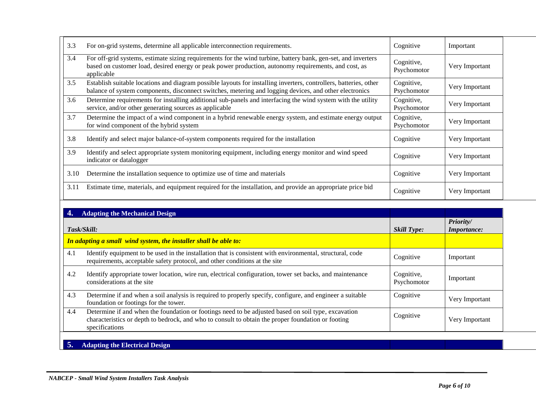| 3.3         | For on-grid systems, determine all applicable interconnection requirements.                                                                                                                                                         | Cognitive                 | Important                       |
|-------------|-------------------------------------------------------------------------------------------------------------------------------------------------------------------------------------------------------------------------------------|---------------------------|---------------------------------|
| 3.4         | For off-grid systems, estimate sizing requirements for the wind turbine, battery bank, gen-set, and inverters<br>based on customer load, desired energy or peak power production, autonomy requirements, and cost, as<br>applicable | Cognitive,<br>Psychomotor | Very Important                  |
| 3.5         | Establish suitable locations and diagram possible layouts for installing inverters, controllers, batteries, other<br>balance of system components, disconnect switches, metering and logging devices, and other electronics         | Cognitive,<br>Psychomotor | Very Important                  |
| 3.6         | Determine requirements for installing additional sub-panels and interfacing the wind system with the utility<br>service, and/or other generating sources as applicable                                                              | Cognitive,<br>Psychomotor | Very Important                  |
| 3.7         | Determine the impact of a wind component in a hybrid renewable energy system, and estimate energy output<br>for wind component of the hybrid system                                                                                 | Cognitive,<br>Psychomotor | Very Important                  |
| 3.8         | Identify and select major balance-of-system components required for the installation                                                                                                                                                | Cognitive                 | Very Important                  |
| 3.9         | Identify and select appropriate system monitoring equipment, including energy monitor and wind speed<br>indicator or datalogger                                                                                                     | Cognitive                 | Very Important                  |
| 3.10        | Determine the installation sequence to optimize use of time and materials                                                                                                                                                           | Cognitive                 | Very Important                  |
| 3.11        | Estimate time, materials, and equipment required for the installation, and provide an appropriate price bid                                                                                                                         | Cognitive                 | Very Important                  |
|             | <b>Adapting the Mechanical Design</b>                                                                                                                                                                                               |                           |                                 |
| Task/Skill: |                                                                                                                                                                                                                                     | <b>Skill Type:</b>        | Priority/<br><b>Importance:</b> |
|             | In adapting a small wind system, the installer shall be able to:                                                                                                                                                                    |                           |                                 |
|             |                                                                                                                                                                                                                                     |                           |                                 |

|      | In adapting a small wind system, the installer shall be able to:                                                                                                                                                            |                           |                |
|------|-----------------------------------------------------------------------------------------------------------------------------------------------------------------------------------------------------------------------------|---------------------------|----------------|
| -4.1 | Identify equipment to be used in the installation that is consistent with environmental, structural, code<br>requirements, acceptable safety protocol, and other conditions at the site                                     | Cognitive                 | Important      |
| 4.2  | Identify appropriate tower location, wire run, electrical configuration, tower set backs, and maintenance<br>considerations at the site                                                                                     | Cognitive,<br>Psychomotor | Important      |
| 4.3  | Determine if and when a soil analysis is required to properly specify, configure, and engineer a suitable<br>foundation or footings for the tower.                                                                          | Cognitive                 | Very Important |
| 4.4  | Determine if and when the foundation or footings need to be adjusted based on soil type, excavation<br>characteristics or depth to bedrock, and who to consult to obtain the proper foundation or footing<br>specifications | Cognitive                 | Very Important |

## **5. Adapting the Electrical Design**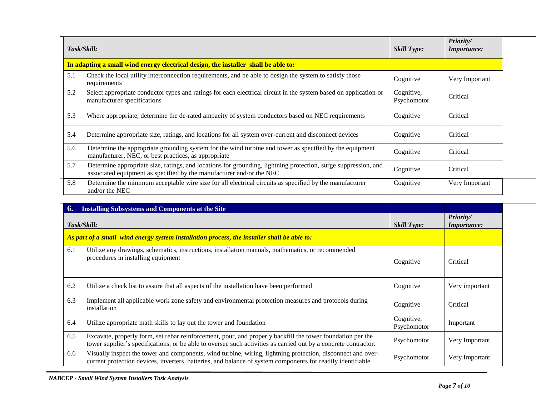|     | Task/Skill:                                                                                                                                                                                                                   | <b>Skill Type:</b>        | Priority/<br>Importance: |
|-----|-------------------------------------------------------------------------------------------------------------------------------------------------------------------------------------------------------------------------------|---------------------------|--------------------------|
|     | In adapting a small wind energy electrical design, the installer shall be able to:                                                                                                                                            |                           |                          |
| 5.1 | Check the local utility interconnection requirements, and be able to design the system to satisfy those<br>requirements                                                                                                       | Cognitive                 | Very Important           |
| 5.2 | Select appropriate conductor types and ratings for each electrical circuit in the system based on application or<br>manufacturer specifications                                                                               | Cognitive,<br>Psychomotor | Critical                 |
| 5.3 | Where appropriate, determine the de-rated ampacity of system conductors based on NEC requirements                                                                                                                             | Cognitive                 | Critical                 |
| 5.4 | Determine appropriate size, ratings, and locations for all system over-current and disconnect devices                                                                                                                         | Cognitive                 | Critical                 |
| 5.6 | Determine the appropriate grounding system for the wind turbine and tower as specified by the equipment<br>manufacturer, NEC, or best practices, as appropriate                                                               | Cognitive                 | Critical                 |
| 5.7 | Determine appropriate size, ratings, and locations for grounding, lightning protection, surge suppression, and<br>associated equipment as specified by the manufacturer and/or the NEC                                        | Cognitive                 | Critical                 |
| 5.8 | Determine the minimum acceptable wire size for all electrical circuits as specified by the manufacturer<br>and/or the NEC                                                                                                     | Cognitive                 | Very Important           |
|     |                                                                                                                                                                                                                               |                           |                          |
|     |                                                                                                                                                                                                                               |                           |                          |
| 6.  | <b>Installing Subsystems and Components at the Site</b><br>Task/Skill:                                                                                                                                                        | <b>Skill Type:</b>        | Priority/<br>Importance: |
|     | As part of a small wind energy system installation process, the installer shall be able to:                                                                                                                                   |                           |                          |
| 6.1 | Utilize any drawings, schematics, instructions, installation manuals, mathematics, or recommended<br>procedures in installing equipment                                                                                       | Cognitive                 | Critical                 |
| 6.2 | Utilize a check list to assure that all aspects of the installation have been performed                                                                                                                                       | Cognitive                 | Very important           |
| 6.3 | Implement all applicable work zone safety and environmental protection measures and protocols during<br>installation                                                                                                          | Cognitive                 | Critical                 |
| 6.4 | Utilize appropriate math skills to lay out the tower and foundation                                                                                                                                                           | Cognitive,<br>Psychomotor | Important                |
| 6.5 | Excavate, properly form, set rebar reinforcement, pour, and properly backfill the tower foundation per the<br>tower supplier's specifications, or be able to oversee such activities as carried out by a concrete contractor. | Psychomotor               | Very Important           |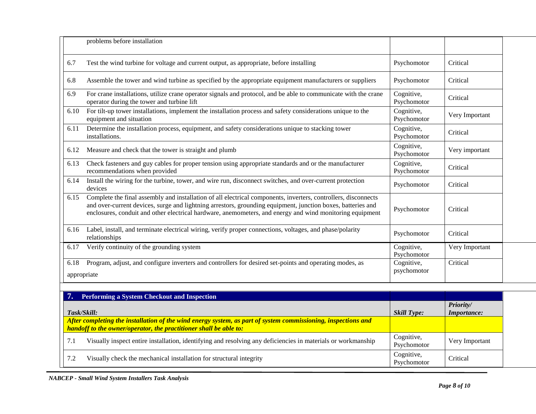|                     | problems before installation                                                                                                                                                                                                                                                                                                              |                           |                                 |
|---------------------|-------------------------------------------------------------------------------------------------------------------------------------------------------------------------------------------------------------------------------------------------------------------------------------------------------------------------------------------|---------------------------|---------------------------------|
| 6.7                 | Test the wind turbine for voltage and current output, as appropriate, before installing                                                                                                                                                                                                                                                   | Psychomotor               | Critical                        |
| 6.8                 | Assemble the tower and wind turbine as specified by the appropriate equipment manufacturers or suppliers                                                                                                                                                                                                                                  | Psychomotor               | Critical                        |
| 6.9                 | For crane installations, utilize crane operator signals and protocol, and be able to communicate with the crane<br>operator during the tower and turbine lift                                                                                                                                                                             | Cognitive,<br>Psychomotor | Critical                        |
| 6.10                | For tilt-up tower installations, implement the installation process and safety considerations unique to the<br>equipment and situation                                                                                                                                                                                                    | Cognitive,<br>Psychomotor | Very Important                  |
| 6.11                | Determine the installation process, equipment, and safety considerations unique to stacking tower<br>installations.                                                                                                                                                                                                                       | Cognitive,<br>Psychomotor | Critical                        |
| 6.12                | Measure and check that the tower is straight and plumb                                                                                                                                                                                                                                                                                    | Cognitive,<br>Psychomotor | Very important                  |
| 6.13                | Check fasteners and guy cables for proper tension using appropriate standards and or the manufacturer<br>recommendations when provided                                                                                                                                                                                                    | Cognitive,<br>Psychomotor | Critical                        |
| 6.14                | Install the wiring for the turbine, tower, and wire run, disconnect switches, and over-current protection<br>devices                                                                                                                                                                                                                      | Psychomotor               | Critical                        |
| 6.15                | Complete the final assembly and installation of all electrical components, inverters, controllers, disconnects<br>and over-current devices, surge and lightning arrestors, grounding equipment, junction boxes, batteries and<br>enclosures, conduit and other electrical hardware, anemometers, and energy and wind monitoring equipment | Psychomotor               | Critical                        |
| 6.16                | Label, install, and terminate electrical wiring, verify proper connections, voltages, and phase/polarity<br>relationships                                                                                                                                                                                                                 | Psychomotor               | Critical                        |
| 6.17                | Verify continuity of the grounding system                                                                                                                                                                                                                                                                                                 | Cognitive,<br>Psychomotor | Very Important                  |
| 6.18<br>appropriate | Program, adjust, and configure inverters and controllers for desired set-points and operating modes, as                                                                                                                                                                                                                                   | Cognitive,<br>psychomotor | Critical                        |
| 7.                  | Performing a System Checkout and Inspection                                                                                                                                                                                                                                                                                               |                           |                                 |
| Task/Skill:         |                                                                                                                                                                                                                                                                                                                                           | <b>Skill Type:</b>        | Priority/<br><b>Importance:</b> |
|                     | After completing the installation of the wind energy system, as part of system commissioning, inspections and<br>handoff to the owner/operator, the practitioner shall be able to:                                                                                                                                                        |                           |                                 |
| 7.1                 | Visually inspect entire installation, identifying and resolving any deficiencies in materials or workmanship                                                                                                                                                                                                                              | Cognitive,<br>Psychomotor | Very Important                  |
| 7.2                 | Visually check the mechanical installation for structural integrity                                                                                                                                                                                                                                                                       | Cognitive,<br>Psychomotor | Critical                        |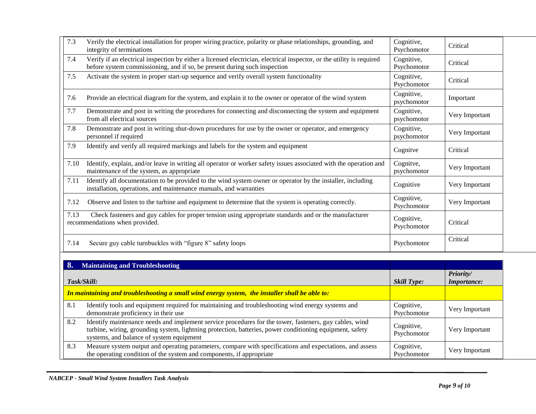| 7.3  | Verify the electrical installation for proper wiring practice, polarity or phase relationships, grounding, and<br>integrity of terminations                                                        | Cognitive,<br>Psychomotor | Critical       |
|------|----------------------------------------------------------------------------------------------------------------------------------------------------------------------------------------------------|---------------------------|----------------|
| 7.4  | Verify if an electrical inspection by either a licensed electrician, electrical inspector, or the utility is required<br>before system commissioning, and if so, be present during such inspection | Cognitive,<br>Psychomotor | Critical       |
| 7.5  | Activate the system in proper start-up sequence and verify overall system functionality                                                                                                            | Cognitive,<br>Psychomotor | Critical       |
| 7.6  | Provide an electrical diagram for the system, and explain it to the owner or operator of the wind system                                                                                           | Cognitive,<br>psychomotor | Important      |
| 7.7  | Demonstrate and post in writing the procedures for connecting and disconnecting the system and equipment<br>from all electrical sources                                                            | Cognitive,<br>psychomotor | Very Important |
| 7.8  | Demonstrate and post in writing shut-down procedures for use by the owner or operator, and emergency<br>personnel if required                                                                      | Cognitive,<br>psychomotor | Very Important |
| 7.9  | Identify and verify all required markings and labels for the system and equipment                                                                                                                  | Cognitve                  | Critical       |
| 7.10 | Identify, explain, and/or leave in writing all operator or worker safety issues associated with the operation and<br>maintenance of the system, as appropriate                                     | Cognitve,<br>psychomotor  | Very Important |
| 7.11 | Identify all documentation to be provided to the wind system owner or operator by the installer, including<br>installation, operations, and maintenance manuals, and warranties                    | Cognitive                 | Very Important |
| 7.12 | Observe and listen to the turbine and equipment to determine that the system is operating correctly.                                                                                               | Cognitive,<br>Psychomotor | Very Important |
| 7.13 | Check fasteners and guy cables for proper tension using appropriate standards and or the manufacturer<br>recommendations when provided.                                                            | Cognitive,<br>Psychomotor | Critical       |
| 7.14 | Secure guy cable turnbuckles with "figure 8" safety loops                                                                                                                                          | Psychomotor               | Critical       |

|     | <b>Maintaining and Troubleshooting</b>                                                                                                                                                                                                                         |                           |                                 |
|-----|----------------------------------------------------------------------------------------------------------------------------------------------------------------------------------------------------------------------------------------------------------------|---------------------------|---------------------------------|
|     | Task/Skill:                                                                                                                                                                                                                                                    | <b>Skill Type:</b>        | Priority/<br><i>Importance:</i> |
|     | In maintaining and troubleshooting a small wind energy system, the installer shall be able to:                                                                                                                                                                 |                           |                                 |
| 8.1 | Identify tools and equipment required for maintaining and troubleshooting wind energy systems and<br>demonstrate proficiency in their use                                                                                                                      | Cognitive,<br>Psychomotor | Very Important                  |
| 8.2 | Identify maintenance needs and implement service procedures for the tower, fasteners, guy cables, wind<br>turbine, wiring, grounding system, lightning protection, batteries, power conditioning equipment, safety<br>systems, and balance of system equipment | Cognitive,<br>Psychomotor | Very Important                  |
| 8.3 | Measure system output and operating parameters, compare with specifications and expectations, and assess<br>the operating condition of the system and components, if appropriate                                                                               | Cognitive,<br>Psychomotor | Very Important                  |